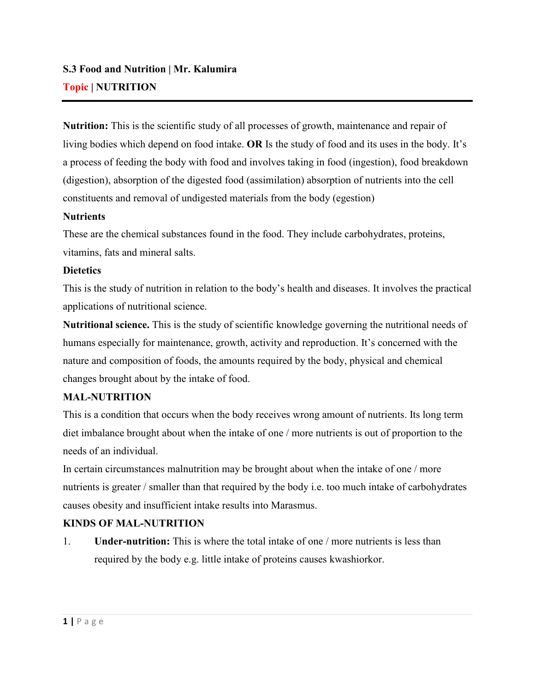**Nutrition:** This is the scientific study of all processes of growth, maintenance and repair of living bodies which depend on food intake. **OR** Is the study of food and its uses in the body. It's a process of feeding the body with food and involves taking in food (ingestion), food breakdown (digestion), absorption of the digested food (assimilation) absorption of nutrients into the cell constituents and removal of undigested materials from the body (egestion)

### **Nutrients**

These are the chemical substances found in the food. They include carbohydrates, proteins, vitamins, fats and mineral salts.

# **Dietetics**

This is the study of nutrition in relation to the body's health and diseases. It involves the practical applications of nutritional science.

**Nutritional science.** This is the study of scientific knowledge governing the nutritional needs of humans especially for maintenance, growth, activity and reproduction. It's concerned with the nature and composition of foods, the amounts required by the body, physical and chemical changes brought about by the intake of food.

# **MAL-NUTRITION**

This is a condition that occurs when the body receives wrong amount of nutrients. Its long term diet imbalance brought about when the intake of one / more nutrients is out of proportion to the needs of an individual.

In certain circumstances malnutrition may be brought about when the intake of one / more nutrients is greater / smaller than that required by the body i.e. too much intake of carbohydrates causes obesity and insufficient intake results into Marasmus.

# **KINDS OF MAL-NUTRITION**

1. **Under-nutrition:** This is where the total intake of one / more nutrients is less than required by the body e.g. little intake of proteins causes kwashiorkor.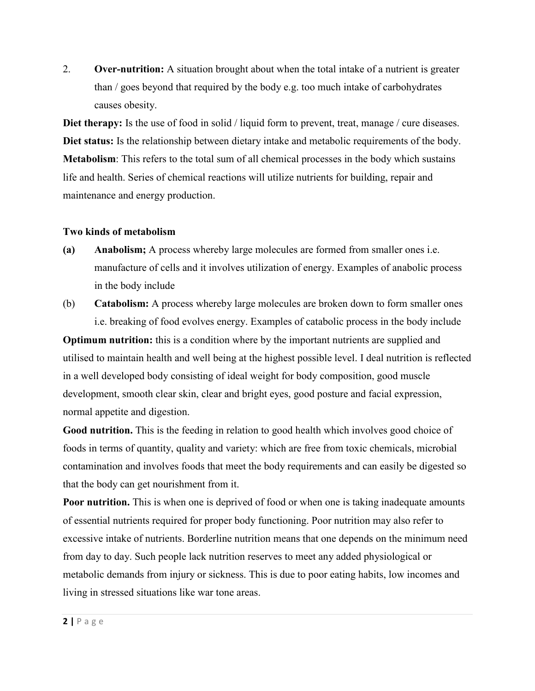2. **Over-nutrition:** A situation brought about when the total intake of a nutrient is greater than / goes beyond that required by the body e.g. too much intake of carbohydrates causes obesity.

**Diet therapy:** Is the use of food in solid / liquid form to prevent, treat, manage / cure diseases. **Diet status:** Is the relationship between dietary intake and metabolic requirements of the body. **Metabolism**: This refers to the total sum of all chemical processes in the body which sustains life and health. Series of chemical reactions will utilize nutrients for building, repair and maintenance and energy production.

### **Two kinds of metabolism**

- **(a) Anabolism;** A process whereby large molecules are formed from smaller ones i.e. manufacture of cells and it involves utilization of energy. Examples of anabolic process in the body include
- (b) **Catabolism:** A process whereby large molecules are broken down to form smaller ones i.e. breaking of food evolves energy. Examples of catabolic process in the body include

**Optimum nutrition:** this is a condition where by the important nutrients are supplied and utilised to maintain health and well being at the highest possible level. I deal nutrition is reflected in a well developed body consisting of ideal weight for body composition, good muscle development, smooth clear skin, clear and bright eyes, good posture and facial expression, normal appetite and digestion.

**Good nutrition.** This is the feeding in relation to good health which involves good choice of foods in terms of quantity, quality and variety: which are free from toxic chemicals, microbial contamination and involves foods that meet the body requirements and can easily be digested so that the body can get nourishment from it.

**Poor nutrition.** This is when one is deprived of food or when one is taking inadequate amounts of essential nutrients required for proper body functioning. Poor nutrition may also refer to excessive intake of nutrients. Borderline nutrition means that one depends on the minimum need from day to day. Such people lack nutrition reserves to meet any added physiological or metabolic demands from injury or sickness. This is due to poor eating habits, low incomes and living in stressed situations like war tone areas.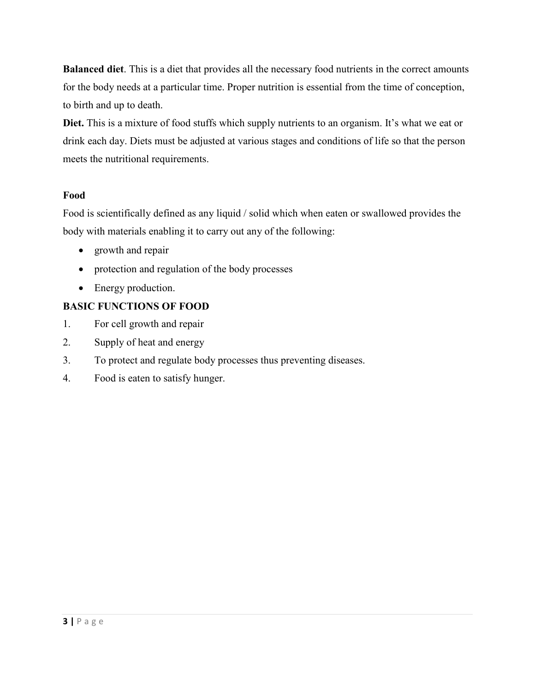**Balanced diet**. This is a diet that provides all the necessary food nutrients in the correct amounts for the body needs at a particular time. Proper nutrition is essential from the time of conception, to birth and up to death.

**Diet.** This is a mixture of food stuffs which supply nutrients to an organism. It's what we eat or drink each day. Diets must be adjusted at various stages and conditions of life so that the person meets the nutritional requirements.

# **Food**

Food is scientifically defined as any liquid / solid which when eaten or swallowed provides the body with materials enabling it to carry out any of the following:

- growth and repair
- protection and regulation of the body processes
- Energy production.

# **BASIC FUNCTIONS OF FOOD**

- 1. For cell growth and repair
- 2. Supply of heat and energy
- 3. To protect and regulate body processes thus preventing diseases.
- 4. Food is eaten to satisfy hunger.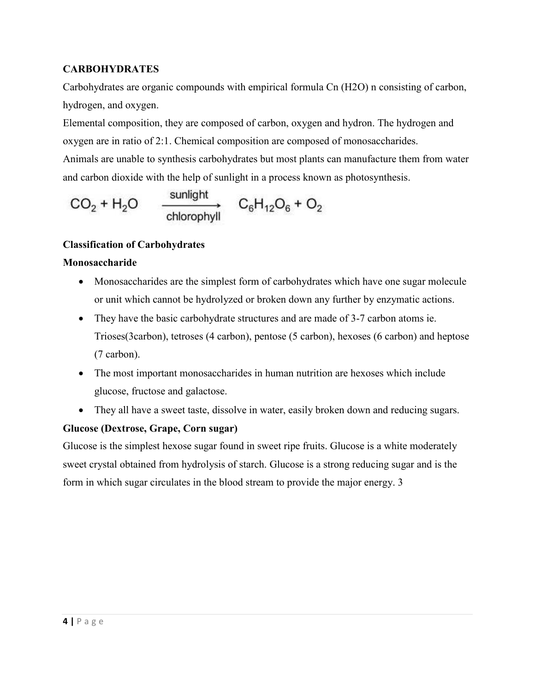# **CARBOHYDRATES**

Carbohydrates are organic compounds with empirical formula Cn (H2O) n consisting of carbon, hydrogen, and oxygen.

Elemental composition, they are composed of carbon, oxygen and hydron. The hydrogen and oxygen are in ratio of 2:1. Chemical composition are composed of monosaccharides. Animals are unable to synthesis carbohydrates but most plants can manufacture them from water and carbon dioxide with the help of sunlight in a process known as photosynthesis.

$$
CO_2 + H_2O \qquad \xrightarrow{\text{sunlight}} \qquad C_6H_{12}O_6 + O_2
$$

# **Classification of Carbohydrates**

### **Monosaccharide**

- Monosaccharides are the simplest form of carbohydrates which have one sugar molecule or unit which cannot be hydrolyzed or broken down any further by enzymatic actions.
- They have the basic carbohydrate structures and are made of 3-7 carbon atoms ie. Trioses(3carbon), tetroses (4 carbon), pentose (5 carbon), hexoses (6 carbon) and heptose (7 carbon).
- The most important monosaccharides in human nutrition are hexoses which include glucose, fructose and galactose.
- They all have a sweet taste, dissolve in water, easily broken down and reducing sugars.

# **Glucose (Dextrose, Grape, Corn sugar)**

Glucose is the simplest hexose sugar found in sweet ripe fruits. Glucose is a white moderately sweet crystal obtained from hydrolysis of starch. Glucose is a strong reducing sugar and is the form in which sugar circulates in the blood stream to provide the major energy. 3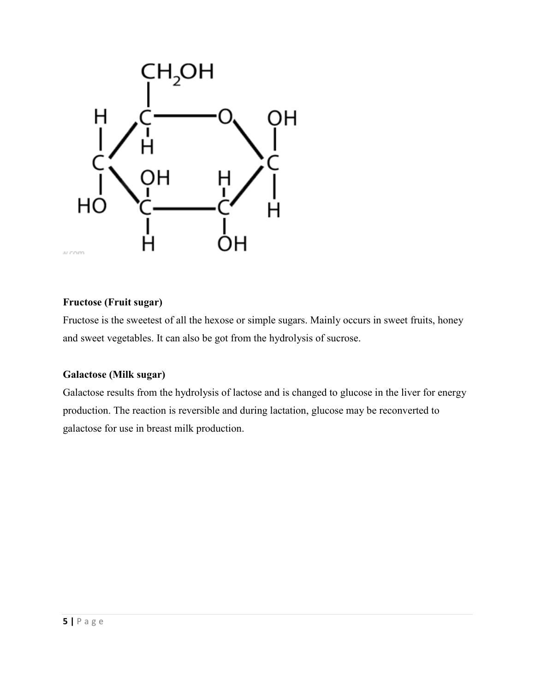

# **Fructose (Fruit sugar)**

Fructose is the sweetest of all the hexose or simple sugars. Mainly occurs in sweet fruits, honey and sweet vegetables. It can also be got from the hydrolysis of sucrose.

# **Galactose (Milk sugar)**

Galactose results from the hydrolysis of lactose and is changed to glucose in the liver for energy production. The reaction is reversible and during lactation, glucose may be reconverted to galactose for use in breast milk production.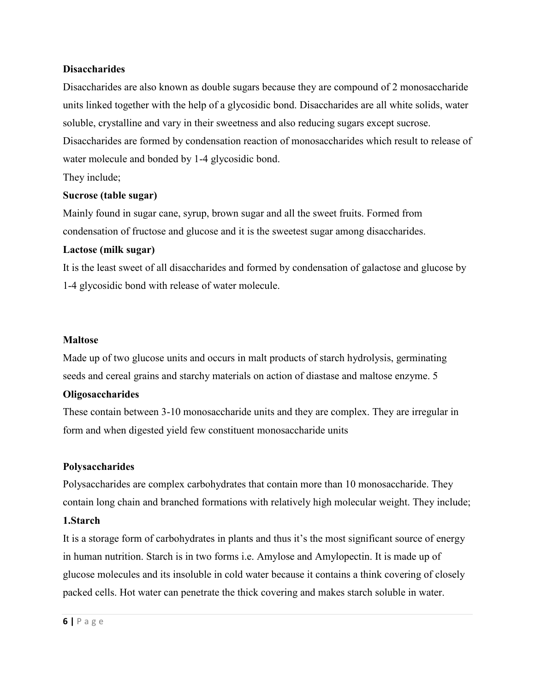#### **Disaccharides**

Disaccharides are also known as double sugars because they are compound of 2 monosaccharide units linked together with the help of a glycosidic bond. Disaccharides are all white solids, water soluble, crystalline and vary in their sweetness and also reducing sugars except sucrose.

Disaccharides are formed by condensation reaction of monosaccharides which result to release of water molecule and bonded by 1-4 glycosidic bond.

They include;

#### **Sucrose (table sugar)**

Mainly found in sugar cane, syrup, brown sugar and all the sweet fruits. Formed from condensation of fructose and glucose and it is the sweetest sugar among disaccharides.

#### **Lactose (milk sugar)**

It is the least sweet of all disaccharides and formed by condensation of galactose and glucose by 1-4 glycosidic bond with release of water molecule.

#### **Maltose**

Made up of two glucose units and occurs in malt products of starch hydrolysis, germinating seeds and cereal grains and starchy materials on action of diastase and maltose enzyme. 5

### **Oligosaccharides**

These contain between 3-10 monosaccharide units and they are complex. They are irregular in form and when digested yield few constituent monosaccharide units

### **Polysaccharides**

Polysaccharides are complex carbohydrates that contain more than 10 monosaccharide. They contain long chain and branched formations with relatively high molecular weight. They include;

#### **1.Starch**

It is a storage form of carbohydrates in plants and thus it's the most significant source of energy in human nutrition. Starch is in two forms i.e. Amylose and Amylopectin. It is made up of glucose molecules and its insoluble in cold water because it contains a think covering of closely packed cells. Hot water can penetrate the thick covering and makes starch soluble in water.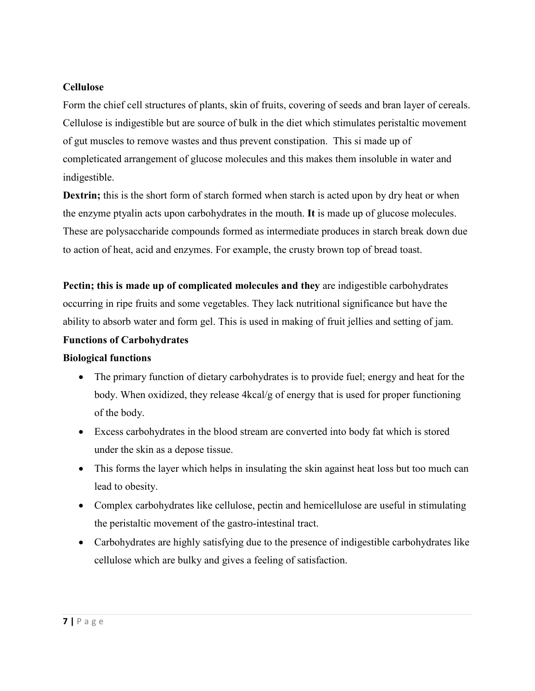## **Cellulose**

Form the chief cell structures of plants, skin of fruits, covering of seeds and bran layer of cereals. Cellulose is indigestible but are source of bulk in the diet which stimulates peristaltic movement of gut muscles to remove wastes and thus prevent constipation. This si made up of completicated arrangement of glucose molecules and this makes them insoluble in water and indigestible.

**Dextrin;** this is the short form of starch formed when starch is acted upon by dry heat or when the enzyme ptyalin acts upon carbohydrates in the mouth. **It** is made up of glucose molecules. These are polysaccharide compounds formed as intermediate produces in starch break down due to action of heat, acid and enzymes. For example, the crusty brown top of bread toast.

**Pectin; this is made up of complicated molecules and they** are indigestible carbohydrates occurring in ripe fruits and some vegetables. They lack nutritional significance but have the ability to absorb water and form gel. This is used in making of fruit jellies and setting of jam.

## **Functions of Carbohydrates**

### **Biological functions**

- The primary function of dietary carbohydrates is to provide fuel; energy and heat for the body. When oxidized, they release  $4kcal/g$  of energy that is used for proper functioning of the body.
- Excess carbohydrates in the blood stream are converted into body fat which is stored under the skin as a depose tissue.
- This forms the layer which helps in insulating the skin against heat loss but too much can lead to obesity.
- Complex carbohydrates like cellulose, pectin and hemicellulose are useful in stimulating the peristaltic movement of the gastro-intestinal tract.
- Carbohydrates are highly satisfying due to the presence of indigestible carbohydrates like cellulose which are bulky and gives a feeling of satisfaction.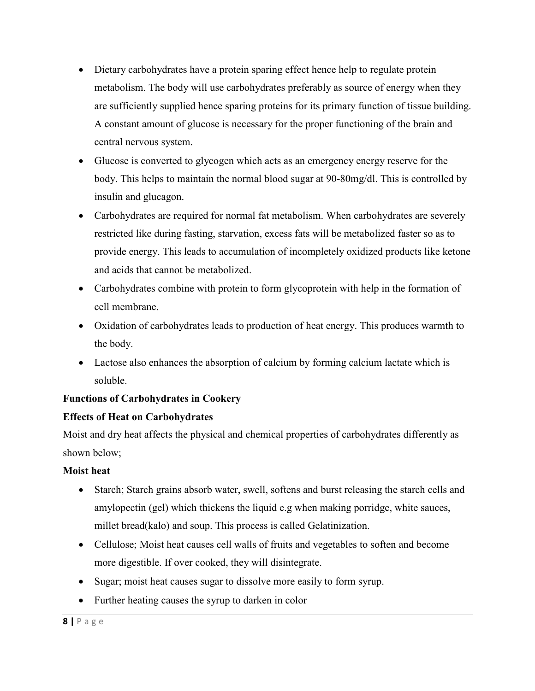- Dietary carbohydrates have a protein sparing effect hence help to regulate protein metabolism. The body will use carbohydrates preferably as source of energy when they are sufficiently supplied hence sparing proteins for its primary function of tissue building. A constant amount of glucose is necessary for the proper functioning of the brain and central nervous system.
- Glucose is converted to glycogen which acts as an emergency energy reserve for the body. This helps to maintain the normal blood sugar at 90-80mg/dl. This is controlled by insulin and glucagon.
- Carbohydrates are required for normal fat metabolism. When carbohydrates are severely restricted like during fasting, starvation, excess fats will be metabolized faster so as to provide energy. This leads to accumulation of incompletely oxidized products like ketone and acids that cannot be metabolized.
- Carbohydrates combine with protein to form glycoprotein with help in the formation of cell membrane.
- Oxidation of carbohydrates leads to production of heat energy. This produces warmth to the body.
- Lactose also enhances the absorption of calcium by forming calcium lactate which is soluble.

# **Functions of Carbohydrates in Cookery**

# **Effects of Heat on Carbohydrates**

Moist and dry heat affects the physical and chemical properties of carbohydrates differently as shown below;

# **Moist heat**

- Starch; Starch grains absorb water, swell, softens and burst releasing the starch cells and amylopectin (gel) which thickens the liquid e.g when making porridge, white sauces, millet bread(kalo) and soup. This process is called Gelatinization.
- Cellulose; Moist heat causes cell walls of fruits and vegetables to soften and become more digestible. If over cooked, they will disintegrate.
- Sugar; moist heat causes sugar to dissolve more easily to form syrup.
- Further heating causes the syrup to darken in color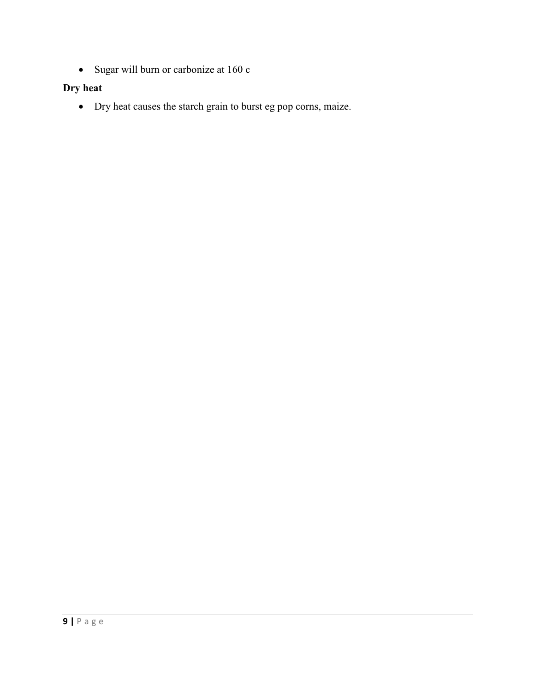Sugar will burn or carbonize at 160 c

# **Dry heat**

Dry heat causes the starch grain to burst eg pop corns, maize.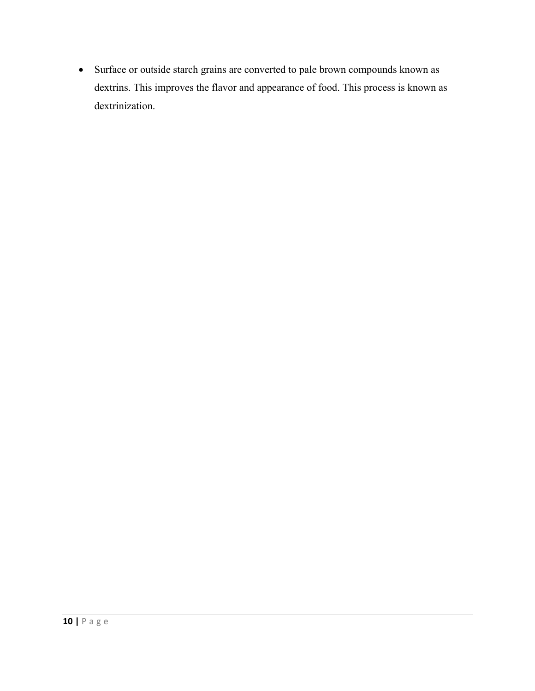Surface or outside starch grains are converted to pale brown compounds known as dextrins. This improves the flavor and appearance of food. This process is known as dextrinization.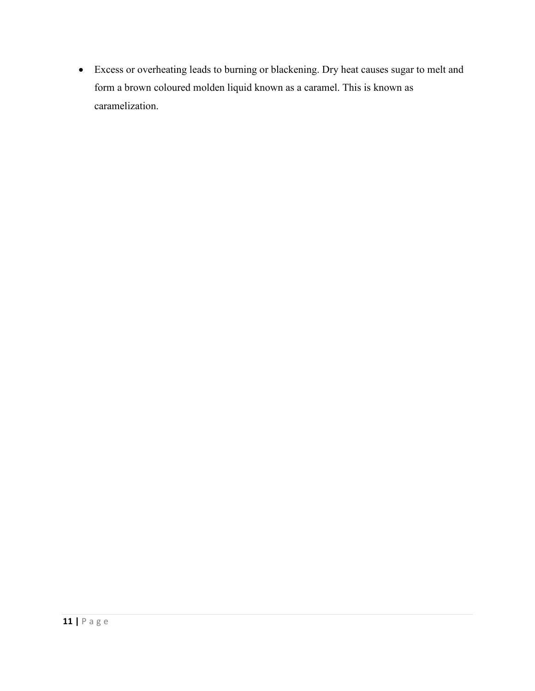Excess or overheating leads to burning or blackening. Dry heat causes sugar to melt and form a brown coloured molden liquid known as a caramel. This is known as caramelization.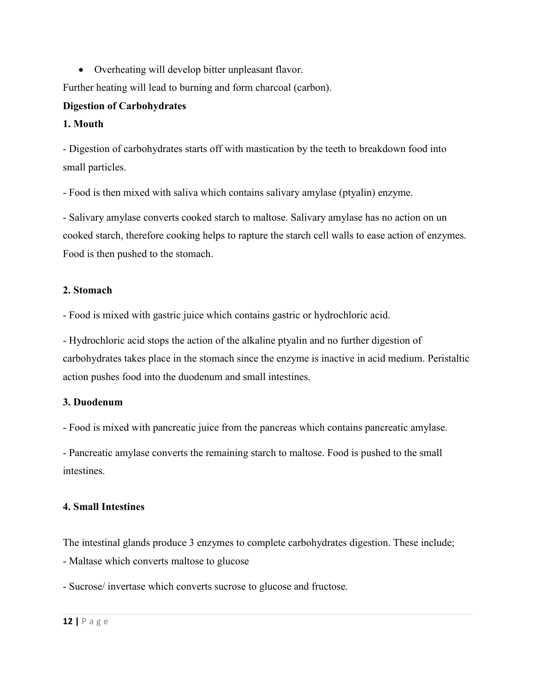Overheating will develop bitter unpleasant flavor.

Further heating will lead to burning and form charcoal (carbon).

# **Digestion of Carbohydrates**

# **1. Mouth**

- Digestion of carbohydrates starts off with mastication by the teeth to breakdown food into small particles.

- Food is then mixed with saliva which contains salivary amylase (ptyalin) enzyme.

- Salivary amylase converts cooked starch to maltose. Salivary amylase has no action on un cooked starch, therefore cooking helps to rapture the starch cell walls to ease action of enzymes. Food is then pushed to the stomach.

# **2. Stomach**

- Food is mixed with gastric juice which contains gastric or hydrochloric acid.

- Hydrochloric acid stops the action of the alkaline ptyalin and no further digestion of carbohydrates takes place in the stomach since the enzyme is inactive in acid medium. Peristaltic action pushes food into the duodenum and small intestines.

# **3. Duodenum**

- Food is mixed with pancreatic juice from the pancreas which contains pancreatic amylase.

- Pancreatic amylase converts the remaining starch to maltose. Food is pushed to the small intestines.

# **4. Small Intestines**

The intestinal glands produce 3 enzymes to complete carbohydrates digestion. These include; - Maltase which converts maltose to glucose

- Sucrose/ invertase which converts sucrose to glucose and fructose.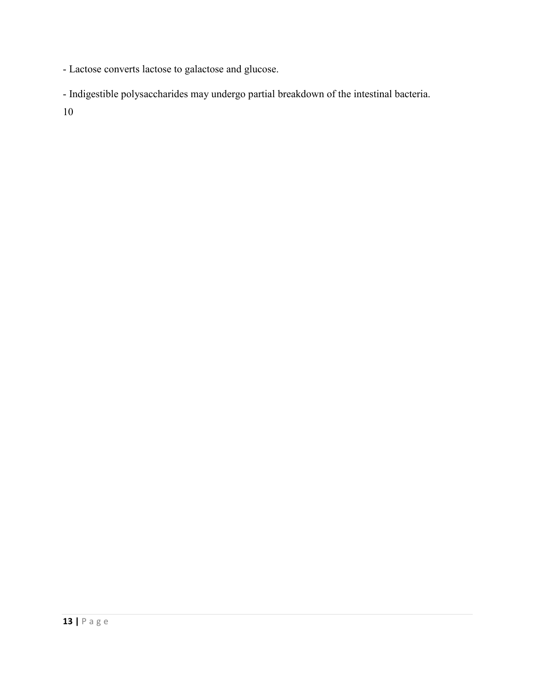- Lactose converts lactose to galactose and glucose.

- Indigestible polysaccharides may undergo partial breakdown of the intestinal bacteria.

10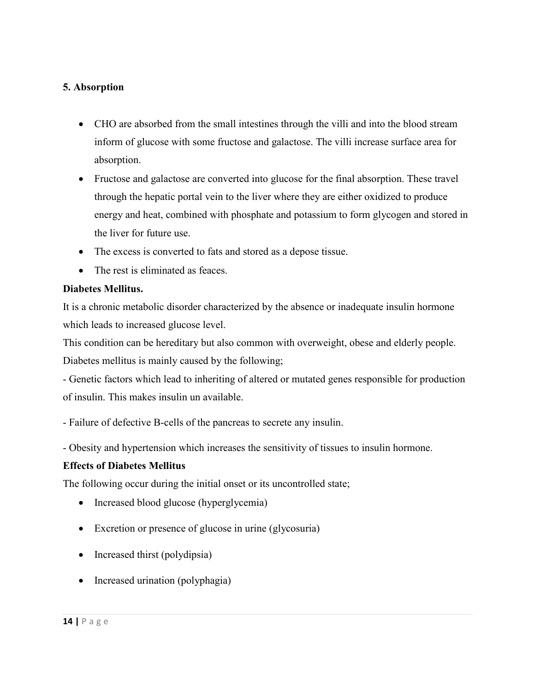# **5. Absorption**

- CHO are absorbed from the small intestines through the villi and into the blood stream inform of glucose with some fructose and galactose. The villi increase surface area for absorption.
- Fructose and galactose are converted into glucose for the final absorption. These travel through the hepatic portal vein to the liver where they are either oxidized to produce energy and heat, combined with phosphate and potassium to form glycogen and stored in the liver for future use.
- The excess is converted to fats and stored as a depose tissue.
- The rest is eliminated as feaces.

#### **Diabetes Mellitus.**

It is a chronic metabolic disorder characterized by the absence or inadequate insulin hormone which leads to increased glucose level.

This condition can be hereditary but also common with overweight, obese and elderly people. Diabetes mellitus is mainly caused by the following;

- Genetic factors which lead to inheriting of altered or mutated genes responsible for production of insulin. This makes insulin un available.

- Failure of defective B-cells of the pancreas to secrete any insulin.

- Obesity and hypertension which increases the sensitivity of tissues to insulin hormone.

### **Effects of Diabetes Mellitus**

The following occur during the initial onset or its uncontrolled state;

- Increased blood glucose (hyperglycemia)
- Excretion or presence of glucose in urine (glycosuria)
- Increased thirst (polydipsia)
- Increased urination (polyphagia)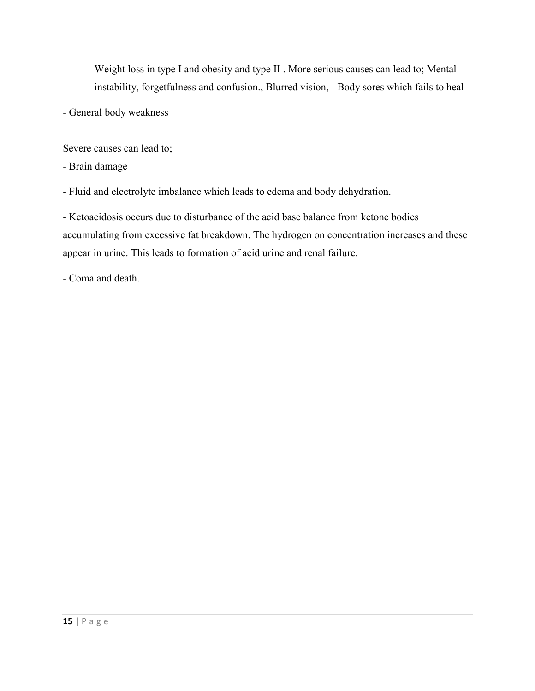- Weight loss in type I and obesity and type II . More serious causes can lead to; Mental instability, forgetfulness and confusion., Blurred vision, - Body sores which fails to heal
- General body weakness

Severe causes can lead to;

- Brain damage
- Fluid and electrolyte imbalance which leads to edema and body dehydration.

- Ketoacidosis occurs due to disturbance of the acid base balance from ketone bodies accumulating from excessive fat breakdown. The hydrogen on concentration increases and these appear in urine. This leads to formation of acid urine and renal failure.

- Coma and death.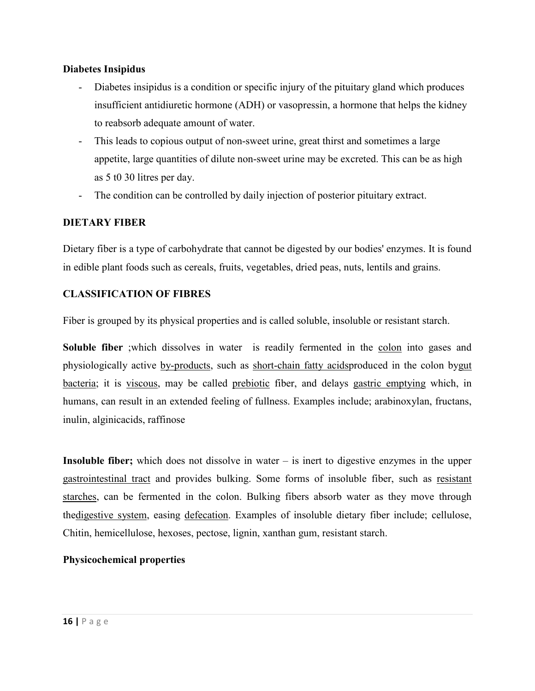### **Diabetes Insipidus**

- Diabetes insipidus is a condition or specific injury of the pituitary gland which produces insufficient antidiuretic hormone (ADH) or vasopressin, a hormone that helps the kidney to reabsorb adequate amount of water.
- This leads to copious output of non-sweet urine, great thirst and sometimes a large appetite, large quantities of dilute non-sweet urine may be excreted. This can be as high as 5 t0 30 litres per day.
- The condition can be controlled by daily injection of posterior pituitary extract.

### **DIETARY FIBER**

Dietary fiber is a type of carbohydrate that cannot be digested by our bodies' enzymes. It is found in edible plant foods such as cereals, fruits, vegetables, dried peas, nuts, lentils and grains.

### **CLASSIFICATION OF FIBRES**

Fiber is grouped by its physical properties and is called soluble, insoluble or resistant starch.

**Soluble fiber** ;which dissolves in water is readily fermented in the colon into gases and physiologically active by-products, such as short-chain fatty acidsproduced in the colon bygut bacteria; it is viscous, may be called prebiotic fiber, and delays gastric emptying which, in humans, can result in an extended feeling of fullness. Examples include; arabinoxylan, fructans, inulin, alginicacids, raffinose

**Insoluble fiber;** which does not dissolve in water – is inert to digestive enzymes in the upper gastrointestinal tract and provides bulking. Some forms of insoluble fiber, such as resistant starches, can be fermented in the colon. Bulking fibers absorb water as they move through thedigestive system, easing defecation. Examples of insoluble dietary fiber include; cellulose, Chitin, hemicellulose, hexoses, pectose, lignin, xanthan gum, resistant starch.

### **Physicochemical properties**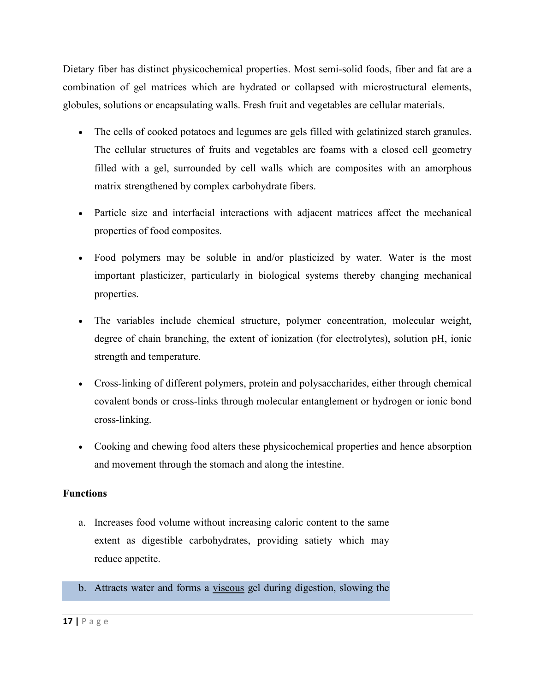Dietary fiber has distinct physicochemical properties. Most semi-solid foods, fiber and fat are a combination of gel matrices which are hydrated or collapsed with microstructural elements, globules, solutions or encapsulating walls. Fresh fruit and vegetables are cellular materials.

- The cells of cooked potatoes and legumes are gels filled with gelatinized starch granules. The cellular structures of fruits and vegetables are foams with a closed cell geometry filled with a gel, surrounded by cell walls which are composites with an amorphous matrix strengthened by complex carbohydrate fibers.
- Particle size and interfacial interactions with adjacent matrices affect the mechanical properties of food composites.
- Food polymers may be soluble in and/or plasticized by water. Water is the most important plasticizer, particularly in biological systems thereby changing mechanical properties.
- The variables include chemical structure, polymer concentration, molecular weight, degree of chain branching, the extent of ionization (for electrolytes), solution pH, ionic strength and temperature.
- Cross-linking of different polymers, protein and polysaccharides, either through chemical covalent bonds or cross-links through molecular entanglement or hydrogen or ionic bond cross-linking.
- Cooking and chewing food alters these physicochemical properties and hence absorption and movement through the stomach and along the intestine.

### **Functions**

- a. Increases food volume without increasing caloric content to the same extent as digestible carbohydrates, providing satiety which may reduce appetite.
- b. Attracts water and forms a viscous gel during digestion, slowing the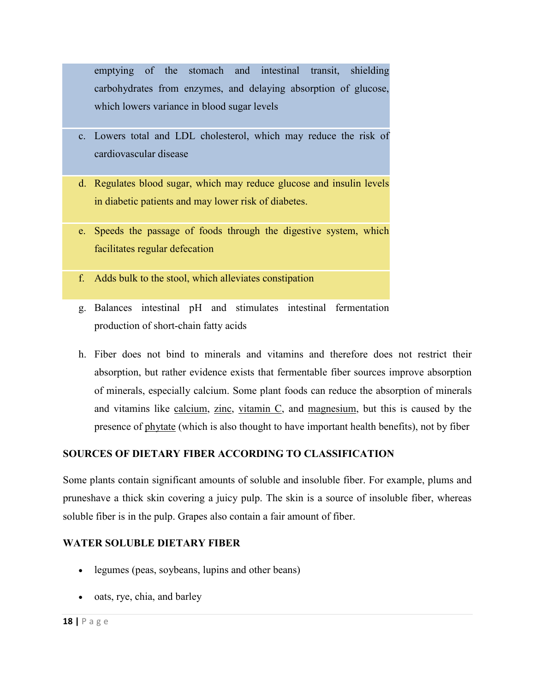emptying of the stomach and intestinal transit, shielding carbohydrates from enzymes, and delaying absorption of glucose, which lowers variance in blood sugar levels

- c. Lowers total and LDL cholesterol, which may reduce the risk of cardiovascular disease
- d. Regulates blood sugar, which may reduce glucose and insulin levels in diabetic patients and may lower risk of diabetes.
- e. Speeds the passage of foods through the digestive system, which facilitates regular defecation
- f. Adds bulk to the stool, which alleviates constipation
- g. Balances intestinal pH and stimulates intestinal fermentation production of short-chain fatty acids
- h. Fiber does not bind to minerals and vitamins and therefore does not restrict their absorption, but rather evidence exists that fermentable fiber sources improve absorption of minerals, especially calcium. Some plant foods can reduce the absorption of minerals and vitamins like calcium, zinc, vitamin C, and magnesium, but this is caused by the presence of phytate (which is also thought to have important health benefits), not by fiber

# **SOURCES OF DIETARY FIBER ACCORDING TO CLASSIFICATION**

Some plants contain significant amounts of soluble and insoluble fiber. For example, plums and pruneshave a thick skin covering a juicy pulp. The skin is a source of insoluble fiber, whereas soluble fiber is in the pulp. Grapes also contain a fair amount of fiber.

### **WATER SOLUBLE DIETARY FIBER**

- legumes (peas, soybeans, lupins and other beans)
- oats, rye, chia, and barley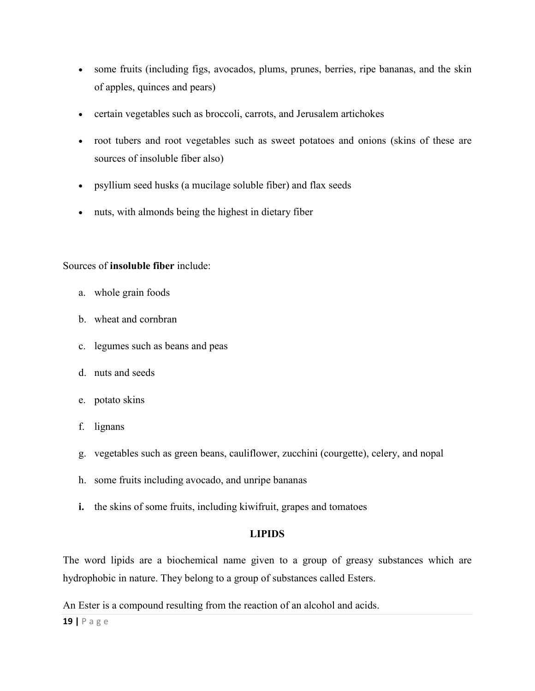- some fruits (including figs, avocados, plums, prunes, berries, ripe bananas, and the skin of apples, quinces and pears)
- certain vegetables such as broccoli, carrots, and Jerusalem artichokes
- root tubers and root vegetables such as sweet potatoes and onions (skins of these are sources of insoluble fiber also)
- psyllium seed husks (a mucilage soluble fiber) and flax seeds
- nuts, with almonds being the highest in dietary fiber

### Sources of **insoluble fiber** include:

- a. whole grain foods
- b. wheat and cornbran
- c. legumes such as beans and peas
- d. nuts and seeds
- e. potato skins
- f. lignans
- g. vegetables such as green beans, cauliflower, zucchini (courgette), celery, and nopal
- h. some fruits including avocado, and unripe bananas
- **i.** the skins of some fruits, including kiwifruit, grapes and tomatoes

### **LIPIDS**

The word lipids are a biochemical name given to a group of greasy substances which are hydrophobic in nature. They belong to a group of substances called Esters.

An Ester is a compound resulting from the reaction of an alcohol and acids.

**19 |** P a g e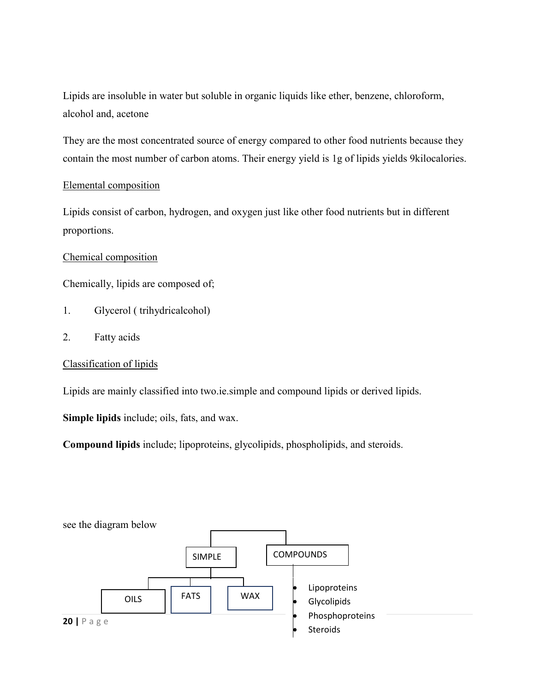Lipids are insoluble in water but soluble in organic liquids like ether, benzene, chloroform, alcohol and, acetone

They are the most concentrated source of energy compared to other food nutrients because they contain the most number of carbon atoms. Their energy yield is 1g of lipids yields 9kilocalories.

### Elemental composition

Lipids consist of carbon, hydrogen, and oxygen just like other food nutrients but in different proportions.

#### Chemical composition

Chemically, lipids are composed of;

- 1. Glycerol ( trihydricalcohol)
- 2. Fatty acids

### Classification of lipids

Lipids are mainly classified into two.ie.simple and compound lipids or derived lipids.

**Simple lipids** include; oils, fats, and wax.

**Compound lipids** include; lipoproteins, glycolipids, phospholipids, and steroids.

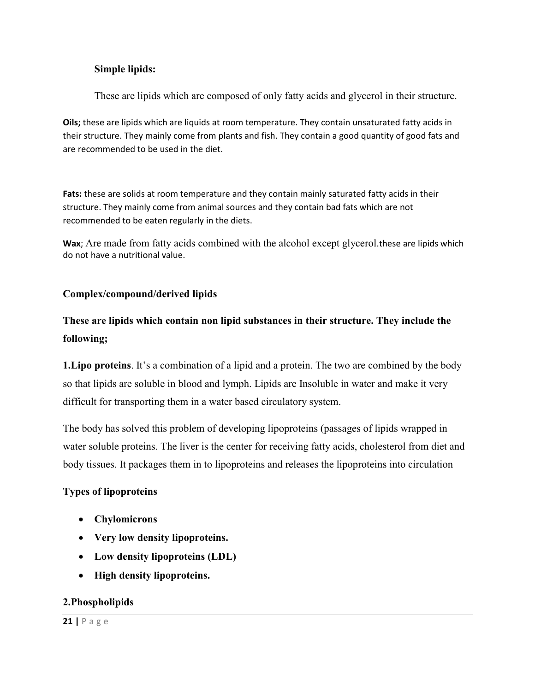### **Simple lipids:**

These are lipids which are composed of only fatty acids and glycerol in their structure.

**Oils;** these are lipids which are liquids at room temperature. They contain unsaturated fatty acids in their structure. They mainly come from plants and fish. They contain a good quantity of good fats and are recommended to be used in the diet.

**Fats:** these are solids at room temperature and they contain mainly saturated fatty acids in their structure. They mainly come from animal sources and they contain bad fats which are not recommended to be eaten regularly in the diets.

**Wax**; Are made from fatty acids combined with the alcohol except glycerol.these are lipids which do not have a nutritional value.

### **Complex/compound/derived lipids**

# **These are lipids which contain non lipid substances in their structure. They include the following;**

**1.Lipo proteins**. It's a combination of a lipid and a protein. The two are combined by the body so that lipids are soluble in blood and lymph. Lipids are Insoluble in water and make it very difficult for transporting them in a water based circulatory system.

The body has solved this problem of developing lipoproteins (passages of lipids wrapped in water soluble proteins. The liver is the center for receiving fatty acids, cholesterol from diet and body tissues. It packages them in to lipoproteins and releases the lipoproteins into circulation

### **Types of lipoproteins**

- **Chylomicrons**
- **Very low density lipoproteins.**
- **Low density lipoproteins (LDL)**
- **High density lipoproteins.**

#### **2.Phospholipids**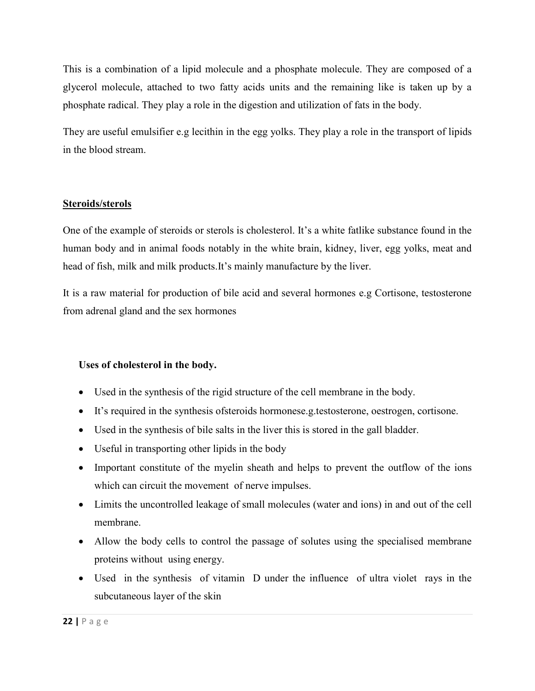This is a combination of a lipid molecule and a phosphate molecule. They are composed of a glycerol molecule, attached to two fatty acids units and the remaining like is taken up by a phosphate radical. They play a role in the digestion and utilization of fats in the body.

They are useful emulsifier e.g lecithin in the egg yolks. They play a role in the transport of lipids in the blood stream.

### **Steroids/sterols**

One of the example of steroids or sterols is cholesterol. It's a white fatlike substance found in the human body and in animal foods notably in the white brain, kidney, liver, egg yolks, meat and head of fish, milk and milk products.It's mainly manufacture by the liver.

It is a raw material for production of bile acid and several hormones e.g Cortisone, testosterone from adrenal gland and the sex hormones

### **Uses of cholesterol in the body.**

- Used in the synthesis of the rigid structure of the cell membrane in the body.
- It's required in the synthesis ofsteroids hormonese.g.testosterone, oestrogen, cortisone.
- Used in the synthesis of bile salts in the liver this is stored in the gall bladder.
- Useful in transporting other lipids in the body
- Important constitute of the myelin sheath and helps to prevent the outflow of the ions which can circuit the movement of nerve impulses.
- Limits the uncontrolled leakage of small molecules (water and ions) in and out of the cell membrane.
- Allow the body cells to control the passage of solutes using the specialised membrane proteins without using energy.
- Used in the synthesis of vitamin D under the influence of ultra violet rays in the subcutaneous layer of the skin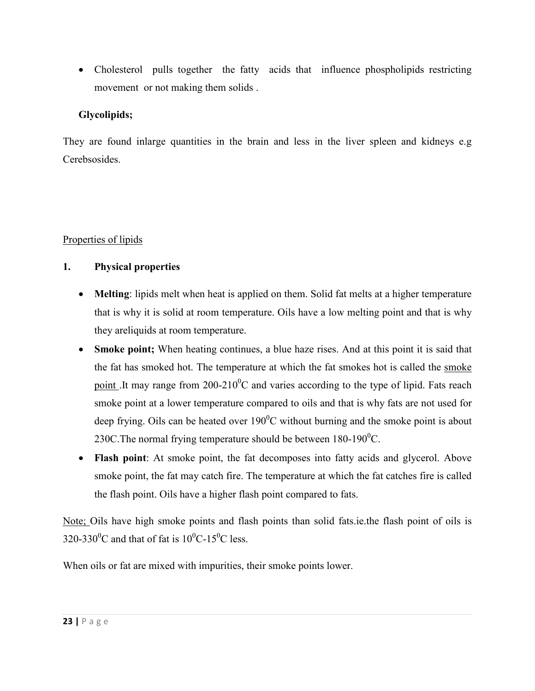• Cholesterol pulls together the fatty acids that influence phospholipids restricting movement or not making them solids .

## **Glycolipids;**

They are found inlarge quantities in the brain and less in the liver spleen and kidneys e.g Cerebsosides.

# Properties of lipids

# **1. Physical properties**

- **Melting**: lipids melt when heat is applied on them. Solid fat melts at a higher temperature that is why it is solid at room temperature. Oils have a low melting point and that is why they areliquids at room temperature.
- **Smoke point;** When heating continues, a blue haze rises. And at this point it is said that the fat has smoked hot. The temperature at which the fat smokes hot is called the smoke point .It may range from  $200-210^0C$  and varies according to the type of lipid. Fats reach smoke point at a lower temperature compared to oils and that is why fats are not used for deep frying. Oils can be heated over  $190^{\circ}$ C without burning and the smoke point is about 230C. The normal frying temperature should be between  $180-190^0C$ .
- **Flash point**: At smoke point, the fat decomposes into fatty acids and glycerol. Above smoke point, the fat may catch fire. The temperature at which the fat catches fire is called the flash point. Oils have a higher flash point compared to fats.

Note; Oils have high smoke points and flash points than solid fats.ie.the flash point of oils is 320-330<sup>o</sup>C and that of fat is  $10^{0}$ C-15<sup>o</sup>C less.

When oils or fat are mixed with impurities, their smoke points lower.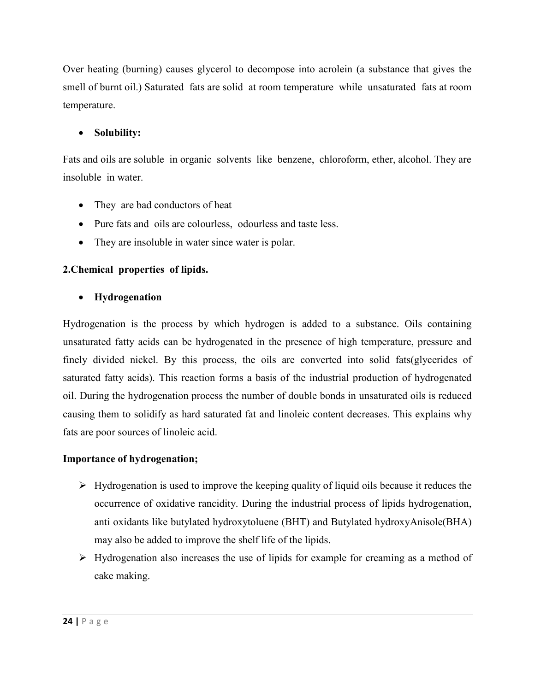Over heating (burning) causes glycerol to decompose into acrolein (a substance that gives the smell of burnt oil.) Saturated fats are solid at room temperature while unsaturated fats at room temperature.

# **Solubility:**

Fats and oils are soluble in organic solvents like benzene, chloroform, ether, alcohol. They are insoluble in water.

- They are bad conductors of heat
- Pure fats and oils are colourless, odourless and taste less.
- They are insoluble in water since water is polar.

### **2.Chemical properties of lipids.**

### **Hydrogenation**

Hydrogenation is the process by which hydrogen is added to a substance. Oils containing unsaturated fatty acids can be hydrogenated in the presence of high temperature, pressure and finely divided nickel. By this process, the oils are converted into solid fats(glycerides of saturated fatty acids). This reaction forms a basis of the industrial production of hydrogenated oil. During the hydrogenation process the number of double bonds in unsaturated oils is reduced causing them to solidify as hard saturated fat and linoleic content decreases. This explains why fats are poor sources of linoleic acid.

### **Importance of hydrogenation;**

- $\triangleright$  Hydrogenation is used to improve the keeping quality of liquid oils because it reduces the occurrence of oxidative rancidity. During the industrial process of lipids hydrogenation, anti oxidants like butylated hydroxytoluene (BHT) and Butylated hydroxyAnisole(BHA) may also be added to improve the shelf life of the lipids.
- > Hydrogenation also increases the use of lipids for example for creaming as a method of cake making.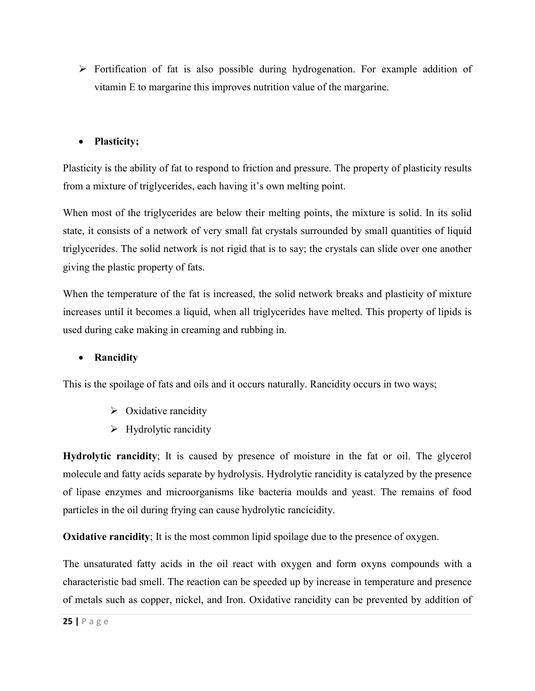$\triangleright$  Fortification of fat is also possible during hydrogenation. For example addition of vitamin E to margarine this improves nutrition value of the margarine.

# **Plasticity;**

Plasticity is the ability of fat to respond to friction and pressure. The property of plasticity results from a mixture of triglycerides, each having it's own melting point.

When most of the triglycerides are below their melting points, the mixture is solid. In its solid state, it consists of a network of very small fat crystals surrounded by small quantities of liquid triglycerides. The solid network is not rigid that is to say; the crystals can slide over one another giving the plastic property of fats.

When the temperature of the fat is increased, the solid network breaks and plasticity of mixture increases until it becomes a liquid, when all triglycerides have melted. This property of lipids is used during cake making in creaming and rubbing in.

### **Rancidity**

This is the spoilage of fats and oils and it occurs naturally. Rancidity occurs in two ways;

- $\triangleright$  Oxidative rancidity
- $\triangleright$  Hydrolytic rancidity

**Hydrolytic rancidity**; It is caused by presence of moisture in the fat or oil. The glycerol molecule and fatty acids separate by hydrolysis. Hydrolytic rancidity is catalyzed by the presence of lipase enzymes and microorganisms like bacteria moulds and yeast. The remains of food particles in the oil during frying can cause hydrolytic rancicidity.

**Oxidative rancidity**; It is the most common lipid spoilage due to the presence of oxygen.

The unsaturated fatty acids in the oil react with oxygen and form oxyns compounds with a characteristic bad smell. The reaction can be speeded up by increase in temperature and presence of metals such as copper, nickel, and Iron. Oxidative rancidity can be prevented by addition of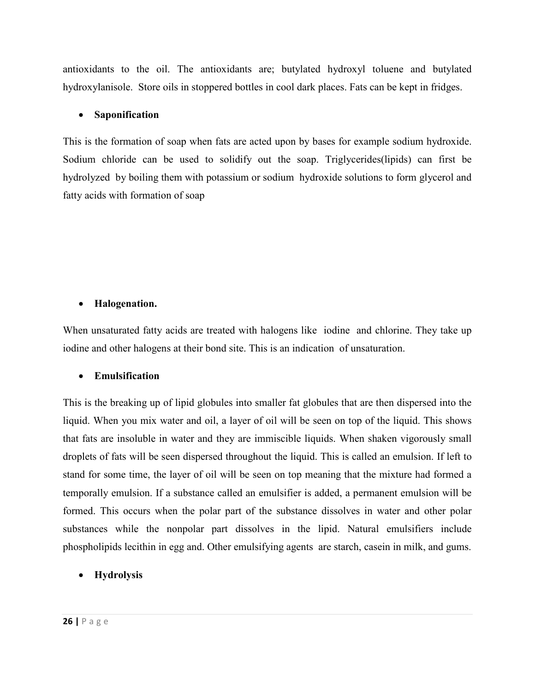antioxidants to the oil. The antioxidants are; butylated hydroxyl toluene and butylated hydroxylanisole. Store oils in stoppered bottles in cool dark places. Fats can be kept in fridges.

### **Saponification**

This is the formation of soap when fats are acted upon by bases for example sodium hydroxide. Sodium chloride can be used to solidify out the soap. Triglycerides(lipids) can first be hydrolyzed by boiling them with potassium or sodium hydroxide solutions to form glycerol and fatty acids with formation of soap

### **Halogenation.**

When unsaturated fatty acids are treated with halogens like iodine and chlorine. They take up iodine and other halogens at their bond site. This is an indication of unsaturation.

### **Emulsification**

This is the breaking up of lipid globules into smaller fat globules that are then dispersed into the liquid. When you mix water and oil, a layer of oil will be seen on top of the liquid. This shows that fats are insoluble in water and they are immiscible liquids. When shaken vigorously small droplets of fats will be seen dispersed throughout the liquid. This is called an emulsion. If left to stand for some time, the layer of oil will be seen on top meaning that the mixture had formed a temporally emulsion. If a substance called an emulsifier is added, a permanent emulsion will be formed. This occurs when the polar part of the substance dissolves in water and other polar substances while the nonpolar part dissolves in the lipid. Natural emulsifiers include phospholipids lecithin in egg and. Other emulsifying agents are starch, casein in milk, and gums.

### **Hydrolysis**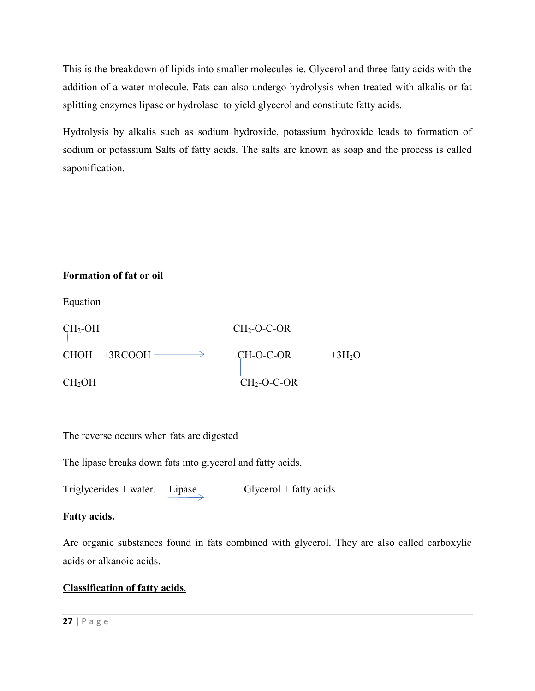This is the breakdown of lipids into smaller molecules ie. Glycerol and three fatty acids with the addition of a water molecule. Fats can also undergo hydrolysis when treated with alkalis or fat splitting enzymes lipase or hydrolase to yield glycerol and constitute fatty acids.

Hydrolysis by alkalis such as sodium hydroxide, potassium hydroxide leads to formation of sodium or potassium Salts of fatty acids. The salts are known as soap and the process is called saponification.

# **Formation of fat or oil**

Equation



The reverse occurs when fats are digested

The lipase breaks down fats into glycerol and fatty acids.

Triglycerides + water.  $Lipase$  Glycerol + fatty acids

# **Fatty acids.**

Are organic substances found in fats combined with glycerol. They are also called carboxylic acids or alkanoic acids.

# **Classification of fatty acids**.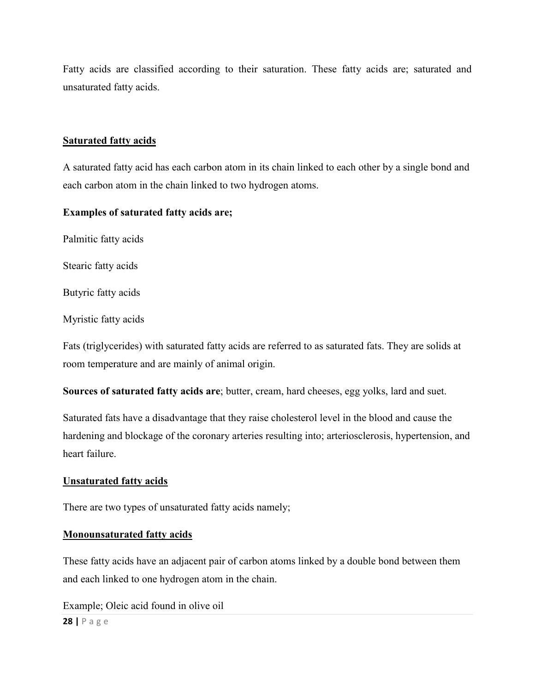Fatty acids are classified according to their saturation. These fatty acids are; saturated and unsaturated fatty acids.

#### **Saturated fatty acids**

A saturated fatty acid has each carbon atom in its chain linked to each other by a single bond and each carbon atom in the chain linked to two hydrogen atoms.

#### **Examples of saturated fatty acids are;**

Palmitic fatty acids

Stearic fatty acids

Butyric fatty acids

Myristic fatty acids

Fats (triglycerides) with saturated fatty acids are referred to as saturated fats. They are solids at room temperature and are mainly of animal origin.

**Sources of saturated fatty acids are**; butter, cream, hard cheeses, egg yolks, lard and suet.

Saturated fats have a disadvantage that they raise cholesterol level in the blood and cause the hardening and blockage of the coronary arteries resulting into; arteriosclerosis, hypertension, and heart failure.

#### **Unsaturated fatty acids**

There are two types of unsaturated fatty acids namely;

#### **Monounsaturated fatty acids**

These fatty acids have an adjacent pair of carbon atoms linked by a double bond between them and each linked to one hydrogen atom in the chain.

Example; Oleic acid found in olive oil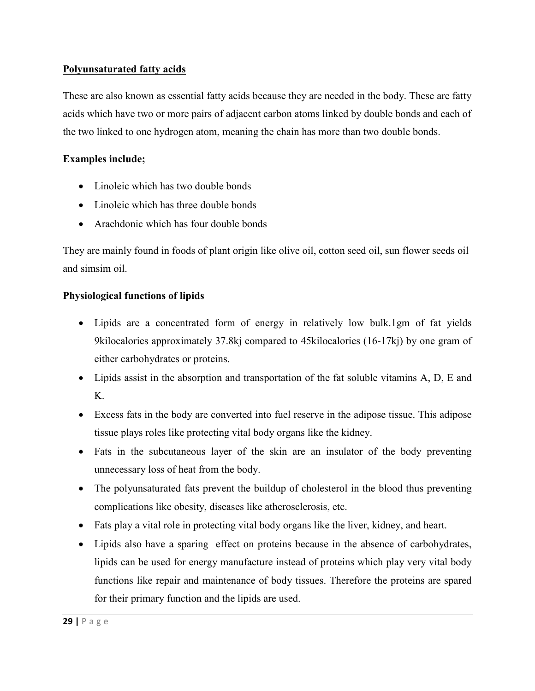## **Polyunsaturated fatty acids**

These are also known as essential fatty acids because they are needed in the body. These are fatty acids which have two or more pairs of adjacent carbon atoms linked by double bonds and each of the two linked to one hydrogen atom, meaning the chain has more than two double bonds.

# **Examples include;**

- Linoleic which has two double bonds
- Linoleic which has three double bonds
- Arachdonic which has four double bonds

They are mainly found in foods of plant origin like olive oil, cotton seed oil, sun flower seeds oil and simsim oil.

# **Physiological functions of lipids**

- Lipids are a concentrated form of energy in relatively low bulk.1gm of fat yields 9kilocalories approximately 37.8kj compared to 45kilocalories (16-17kj) by one gram of either carbohydrates or proteins.
- Lipids assist in the absorption and transportation of the fat soluble vitamins A, D, E and K.
- Excess fats in the body are converted into fuel reserve in the adipose tissue. This adipose tissue plays roles like protecting vital body organs like the kidney.
- Fats in the subcutaneous layer of the skin are an insulator of the body preventing unnecessary loss of heat from the body.
- The polyunsaturated fats prevent the buildup of cholesterol in the blood thus preventing complications like obesity, diseases like atherosclerosis, etc.
- Fats play a vital role in protecting vital body organs like the liver, kidney, and heart.
- Lipids also have a sparing effect on proteins because in the absence of carbohydrates, lipids can be used for energy manufacture instead of proteins which play very vital body functions like repair and maintenance of body tissues. Therefore the proteins are spared for their primary function and the lipids are used.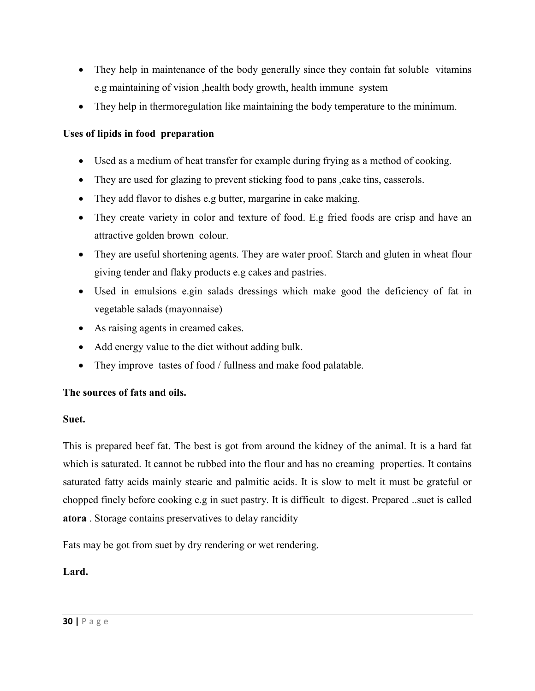- They help in maintenance of the body generally since they contain fat soluble vitamins e.g maintaining of vision ,health body growth, health immune system
- They help in thermoregulation like maintaining the body temperature to the minimum.

# **Uses of lipids in food preparation**

- Used as a medium of heat transfer for example during frying as a method of cooking.
- They are used for glazing to prevent sticking food to pans, cake tins, casserols.
- They add flavor to dishes e.g butter, margarine in cake making.
- They create variety in color and texture of food. E.g fried foods are crisp and have an attractive golden brown colour.
- They are useful shortening agents. They are water proof. Starch and gluten in wheat flour giving tender and flaky products e.g cakes and pastries.
- Used in emulsions e.gin salads dressings which make good the deficiency of fat in vegetable salads (mayonnaise)
- As raising agents in creamed cakes.
- Add energy value to the diet without adding bulk.
- They improve tastes of food / fullness and make food palatable.

### **The sources of fats and oils.**

#### **Suet.**

This is prepared beef fat. The best is got from around the kidney of the animal. It is a hard fat which is saturated. It cannot be rubbed into the flour and has no creaming properties. It contains saturated fatty acids mainly stearic and palmitic acids. It is slow to melt it must be grateful or chopped finely before cooking e.g in suet pastry. It is difficult to digest. Prepared ..suet is called **atora** . Storage contains preservatives to delay rancidity

Fats may be got from suet by dry rendering or wet rendering.

### **Lard.**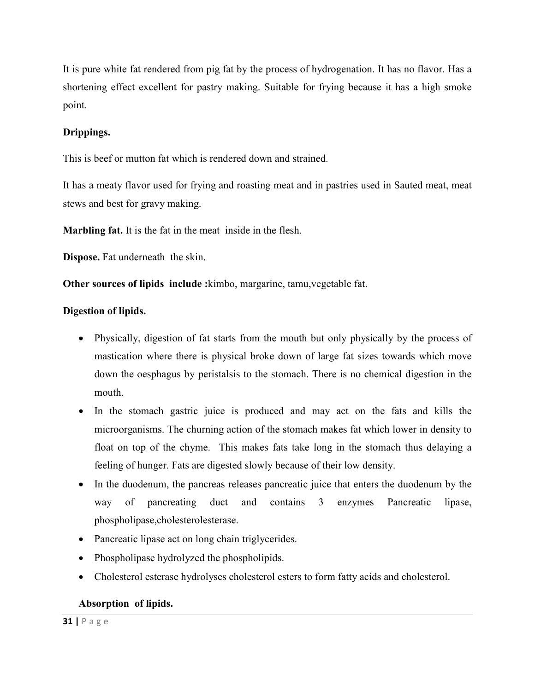It is pure white fat rendered from pig fat by the process of hydrogenation. It has no flavor. Has a shortening effect excellent for pastry making. Suitable for frying because it has a high smoke point.

# **Drippings.**

This is beef or mutton fat which is rendered down and strained.

It has a meaty flavor used for frying and roasting meat and in pastries used in Sauted meat, meat stews and best for gravy making.

**Marbling fat.** It is the fat in the meat inside in the flesh.

**Dispose.** Fat underneath the skin.

**Other sources of lipids include :**kimbo, margarine, tamu,vegetable fat.

# **Digestion of lipids.**

- Physically, digestion of fat starts from the mouth but only physically by the process of mastication where there is physical broke down of large fat sizes towards which move down the oesphagus by peristalsis to the stomach. There is no chemical digestion in the mouth.
- In the stomach gastric juice is produced and may act on the fats and kills the microorganisms. The churning action of the stomach makes fat which lower in density to float on top of the chyme. This makes fats take long in the stomach thus delaying a feeling of hunger. Fats are digested slowly because of their low density.
- In the duodenum, the pancreas releases pancreatic juice that enters the duodenum by the way of pancreating duct and contains 3 enzymes Pancreatic lipase, phospholipase,cholesterolesterase.
- Pancreatic lipase act on long chain triglycerides.
- Phospholipase hydrolyzed the phospholipids.
- Cholesterol esterase hydrolyses cholesterol esters to form fatty acids and cholesterol.

# **Absorption of lipids.**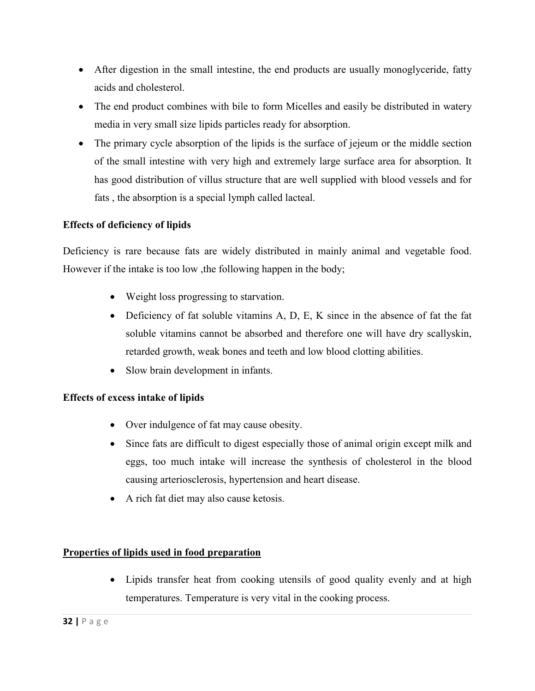- After digestion in the small intestine, the end products are usually monoglyceride, fatty acids and cholesterol.
- The end product combines with bile to form Micelles and easily be distributed in watery media in very small size lipids particles ready for absorption.
- The primary cycle absorption of the lipids is the surface of jejeum or the middle section of the small intestine with very high and extremely large surface area for absorption. It has good distribution of villus structure that are well supplied with blood vessels and for fats , the absorption is a special lymph called lacteal.

# **Effects of deficiency of lipids**

Deficiency is rare because fats are widely distributed in mainly animal and vegetable food. However if the intake is too low ,the following happen in the body;

- Weight loss progressing to starvation.
- Deficiency of fat soluble vitamins A, D, E, K since in the absence of fat the fat soluble vitamins cannot be absorbed and therefore one will have dry scallyskin, retarded growth, weak bones and teeth and low blood clotting abilities.
- Slow brain development in infants.

### **Effects of excess intake of lipids**

- Over indulgence of fat may cause obesity.
- Since fats are difficult to digest especially those of animal origin except milk and eggs, too much intake will increase the synthesis of cholesterol in the blood causing arteriosclerosis, hypertension and heart disease.
- A rich fat diet may also cause ketosis.

### **Properties of lipids used in food preparation**

 Lipids transfer heat from cooking utensils of good quality evenly and at high temperatures. Temperature is very vital in the cooking process.